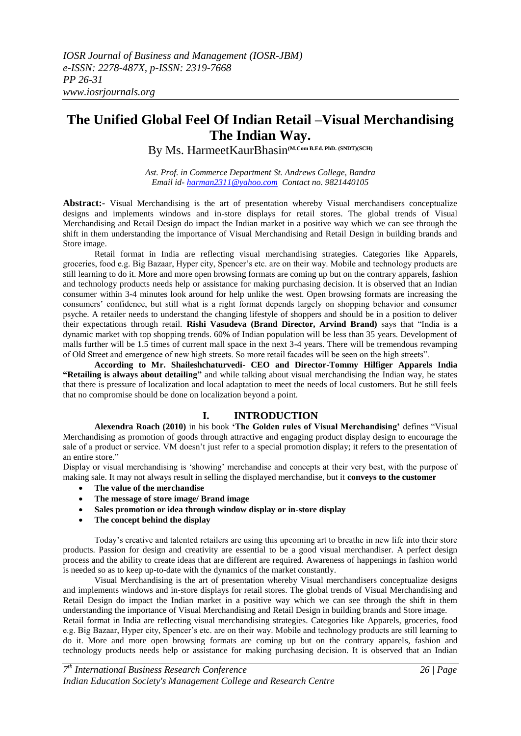# **The Unified Global Feel Of Indian Retail –Visual Merchandising The Indian Way.**

By Ms. HarmeetKaurBhasin**(M.Com B.Ed. PhD. (SNDT)(SCH)**

*Ast. Prof. in Commerce Department St. Andrews College, Bandra Email id- [harman2311@yahoo.com](mailto:harman2311@yahoo.com) Contact no. 9821440105*

**Abstract:-** Visual Merchandising is the art of presentation whereby Visual merchandisers conceptualize designs and implements windows and in-store displays for retail stores. The global trends of Visual Merchandising and Retail Design do impact the Indian market in a positive way which we can see through the shift in them understanding the importance of Visual Merchandising and Retail Design in building brands and Store image.

Retail format in India are reflecting visual merchandising strategies. Categories like Apparels, groceries, food e.g. Big Bazaar, Hyper city, Spencer"s etc. are on their way. Mobile and technology products are still learning to do it. More and more open browsing formats are coming up but on the contrary apparels, fashion and technology products needs help or assistance for making purchasing decision. It is observed that an Indian consumer within 3-4 minutes look around for help unlike the west. Open browsing formats are increasing the consumers" confidence, but still what is a right format depends largely on shopping behavior and consumer psyche. A retailer needs to understand the changing lifestyle of shoppers and should be in a position to deliver their expectations through retail. **Rishi Vasudeva (Brand Director, Arvind Brand)** says that "India is a dynamic market with top shopping trends. 60% of Indian population will be less than 35 years. Development of malls further will be 1.5 times of current mall space in the next 3-4 years. There will be tremendous revamping of Old Street and emergence of new high streets. So more retail facades will be seen on the high streets".

**According to Mr. Shaileshchaturvedi- CEO and Director-Tommy Hilfiger Apparels India "Retailing is always about detailing"** and while talking about visual merchandising the Indian way, he states that there is pressure of localization and local adaptation to meet the needs of local customers. But he still feels that no compromise should be done on localization beyond a point.

## **I. INTRODUCTION**

**Alexendra Roach (2010)** in his book **"The Golden rules of Visual Merchandising"** defines "Visual Merchandising as promotion of goods through attractive and engaging product display design to encourage the sale of a product or service. VM doesn't just refer to a special promotion display; it refers to the presentation of an entire store."

Display or visual merchandising is "showing" merchandise and concepts at their very best, with the purpose of making sale. It may not always result in selling the displayed merchandise, but it **conveys to the customer**

- **The value of the merchandise**
- **The message of store image/ Brand image**
- **Sales promotion or idea through window display or in-store display**
- **The concept behind the display**

Today"s creative and talented retailers are using this upcoming art to breathe in new life into their store products. Passion for design and creativity are essential to be a good visual merchandiser. A perfect design process and the ability to create ideas that are different are required. Awareness of happenings in fashion world is needed so as to keep up-to-date with the dynamics of the market constantly.

Visual Merchandising is the art of presentation whereby Visual merchandisers conceptualize designs and implements windows and in-store displays for retail stores. The global trends of Visual Merchandising and Retail Design do impact the Indian market in a positive way which we can see through the shift in them understanding the importance of Visual Merchandising and Retail Design in building brands and Store image. Retail format in India are reflecting visual merchandising strategies. Categories like Apparels, groceries, food

e.g. Big Bazaar, Hyper city, Spencer"s etc. are on their way. Mobile and technology products are still learning to do it. More and more open browsing formats are coming up but on the contrary apparels, fashion and technology products needs help or assistance for making purchasing decision. It is observed that an Indian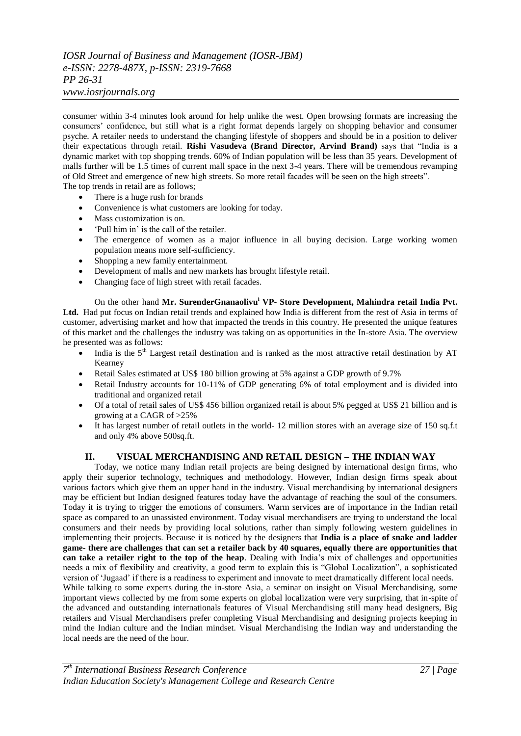## *IOSR Journal of Business and Management (IOSR-JBM) e-ISSN: 2278-487X, p-ISSN: 2319-7668 PP 26-31*

#### *www.iosrjournals.org*

consumer within 3-4 minutes look around for help unlike the west. Open browsing formats are increasing the consumers" confidence, but still what is a right format depends largely on shopping behavior and consumer psyche. A retailer needs to understand the changing lifestyle of shoppers and should be in a position to deliver their expectations through retail. **Rishi Vasudeva (Brand Director, Arvind Brand)** says that "India is a dynamic market with top shopping trends. 60% of Indian population will be less than 35 years. Development of malls further will be 1.5 times of current mall space in the next 3-4 years. There will be tremendous revamping of Old Street and emergence of new high streets. So more retail facades will be seen on the high streets". The top trends in retail are as follows;

- There is a huge rush for brands
- Convenience is what customers are looking for today.
- Mass customization is on.
- "Pull him in" is the call of the retailer.
- The emergence of women as a major influence in all buying decision. Large working women population means more self-sufficiency.
- Shopping a new family entertainment.
- Development of malls and new markets has brought lifestyle retail.
- Changing face of high street with retail facades.

On the other hand **Mr. SurenderGnanaolivu<sup>i</sup> VP- Store Development, Mahindra retail India Pvt.**  Ltd. Had put focus on Indian retail trends and explained how India is different from the rest of Asia in terms of customer, advertising market and how that impacted the trends in this country. He presented the unique features of this market and the challenges the industry was taking on as opportunities in the In-store Asia. The overview he presented was as follows:

- India is the  $5<sup>th</sup>$  Largest retail destination and is ranked as the most attractive retail destination by AT Kearney
- Retail Sales estimated at US\$ 180 billion growing at 5% against a GDP growth of 9.7%
- Retail Industry accounts for 10-11% of GDP generating 6% of total employment and is divided into traditional and organized retail
- Of a total of retail sales of US\$ 456 billion organized retail is about 5% pegged at US\$ 21 billion and is growing at a CAGR of >25%
- It has largest number of retail outlets in the world- 12 million stores with an average size of 150 sq.f.t and only 4% above 500sq.ft.

## **II. VISUAL MERCHANDISING AND RETAIL DESIGN – THE INDIAN WAY**

Today, we notice many Indian retail projects are being designed by international design firms, who apply their superior technology, techniques and methodology. However, Indian design firms speak about various factors which give them an upper hand in the industry. Visual merchandising by international designers may be efficient but Indian designed features today have the advantage of reaching the soul of the consumers. Today it is trying to trigger the emotions of consumers. Warm services are of importance in the Indian retail space as compared to an unassisted environment. Today visual merchandisers are trying to understand the local consumers and their needs by providing local solutions, rather than simply following western guidelines in implementing their projects. Because it is noticed by the designers that **India is a place of snake and ladder game- there are challenges that can set a retailer back by 40 squares, equally there are opportunities that can take a retailer right to the top of the heap**. Dealing with India"s mix of challenges and opportunities needs a mix of flexibility and creativity, a good term to explain this is "Global Localization", a sophisticated version of "Jugaad" if there is a readiness to experiment and innovate to meet dramatically different local needs. While talking to some experts during the in-store Asia, a seminar on insight on Visual Merchandising, some important views collected by me from some experts on global localization were very surprising, that in-spite of the advanced and outstanding internationals features of Visual Merchandising still many head designers, Big retailers and Visual Merchandisers prefer completing Visual Merchandising and designing projects keeping in mind the Indian culture and the Indian mindset. Visual Merchandising the Indian way and understanding the local needs are the need of the hour.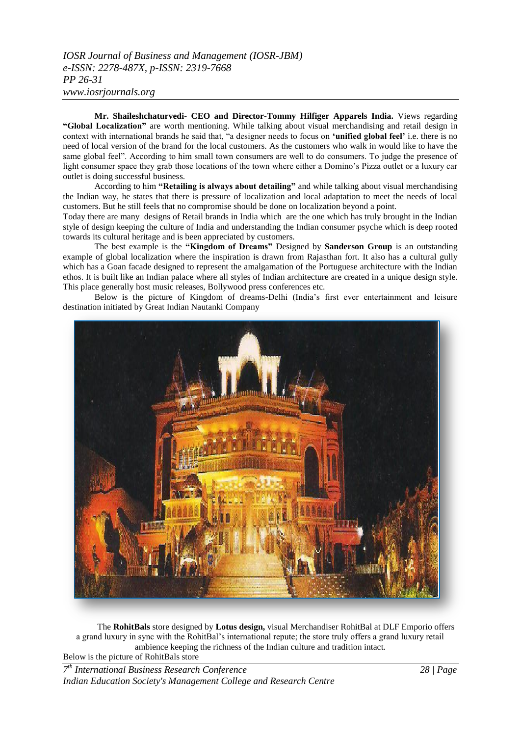**Mr. Shaileshchaturvedi- CEO and Director-Tommy Hilfiger Apparels India.** Views regarding **"Global Localization"** are worth mentioning. While talking about visual merchandising and retail design in context with international brands he said that, "a designer needs to focus on **"unified global feel"** i.e. there is no need of local version of the brand for the local customers. As the customers who walk in would like to have the same global feel". According to him small town consumers are well to do consumers. To judge the presence of light consumer space they grab those locations of the town where either a Domino"s Pizza outlet or a luxury car outlet is doing successful business.

According to him **"Retailing is always about detailing"** and while talking about visual merchandising the Indian way, he states that there is pressure of localization and local adaptation to meet the needs of local customers. But he still feels that no compromise should be done on localization beyond a point.

Today there are many designs of Retail brands in India which are the one which has truly brought in the Indian style of design keeping the culture of India and understanding the Indian consumer psyche which is deep rooted towards its cultural heritage and is been appreciated by customers.

The best example is the **"Kingdom of Dreams"** Designed by **Sanderson Group** is an outstanding example of global localization where the inspiration is drawn from Rajasthan fort. It also has a cultural gully which has a Goan facade designed to represent the amalgamation of the Portuguese architecture with the Indian ethos. It is built like an Indian palace where all styles of Indian architecture are created in a unique design style. This place generally host music releases, Bollywood press conferences etc.

Below is the picture of Kingdom of dreams-Delhi (India"s first ever entertainment and leisure destination initiated by Great Indian Nautanki Company



The **RohitBals** store designed by **Lotus design,** visual Merchandiser RohitBal at DLF Emporio offers a grand luxury in sync with the RohitBal"s international repute; the store truly offers a grand luxury retail ambience keeping the richness of the Indian culture and tradition intact.

Below is the picture of RohitBals store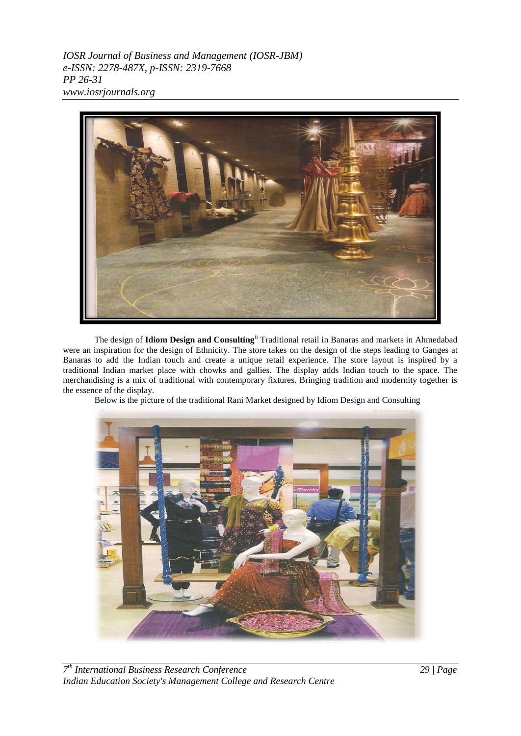*IOSR Journal of Business and Management (IOSR-JBM) e-ISSN: 2278-487X, p-ISSN: 2319-7668 PP 26-31 www.iosrjournals.org*



The design of **Idiom Design and Consulting**ii Traditional retail in Banaras and markets in Ahmedabad were an inspiration for the design of Ethnicity. The store takes on the design of the steps leading to Ganges at Banaras to add the Indian touch and create a unique retail experience. The store layout is inspired by a traditional Indian market place with chowks and gallies. The display adds Indian touch to the space. The merchandising is a mix of traditional with contemporary fixtures. Bringing tradition and modernity together is the essence of the display.

Below is the picture of the traditional Rani Market designed by Idiom Design and Consulting

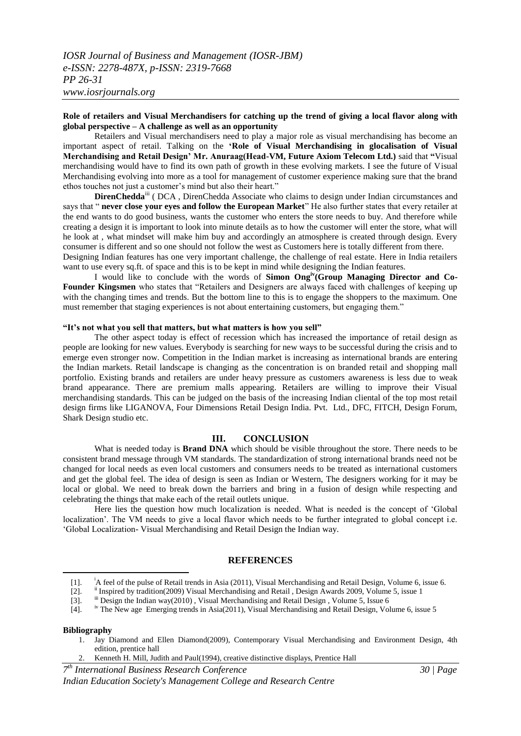### **Role of retailers and Visual Merchandisers for catching up the trend of giving a local flavor along with global perspective – A challenge as well as an opportunity**

Retailers and Visual merchandisers need to play a major role as visual merchandising has become an important aspect of retail. Talking on the **"Role of Visual Merchandising in glocalisation of Visual Merchandising and Retail Design" Mr. Anuraag(Head-VM, Future Axiom Telecom Ltd.)** said that **"**Visual merchandising would have to find its own path of growth in these evolving markets. I see the future of Visual Merchandising evolving into more as a tool for management of customer experience making sure that the brand ethos touches not just a customer"s mind but also their heart."

**DirenChedda**<sup>iii</sup> ( DCA , DirenChedda Associate who claims to design under Indian circumstances and says that " **never close your eyes and follow the European Market**" He also further states that every retailer at the end wants to do good business, wants the customer who enters the store needs to buy. And therefore while creating a design it is important to look into minute details as to how the customer will enter the store, what will he look at , what mindset will make him buy and accordingly an atmosphere is created through design. Every consumer is different and so one should not follow the west as Customers here is totally different from there.

Designing Indian features has one very important challenge, the challenge of real estate. Here in India retailers want to use every sq.ft. of space and this is to be kept in mind while designing the Indian features.

I would like to conclude with the words of **Simon Ongiv(Group Managing Director and Co-Founder Kingsmen** who states that "Retailers and Designers are always faced with challenges of keeping up with the changing times and trends. But the bottom line to this is to engage the shoppers to the maximum. One must remember that staging experiences is not about entertaining customers, but engaging them."

#### **"It"s not what you sell that matters, but what matters is how you sell"**

The other aspect today is effect of recession which has increased the importance of retail design as people are looking for new values. Everybody is searching for new ways to be successful during the crisis and to emerge even stronger now. Competition in the Indian market is increasing as international brands are entering the Indian markets. Retail landscape is changing as the concentration is on branded retail and shopping mall portfolio. Existing brands and retailers are under heavy pressure as customers awareness is less due to weak brand appearance. There are premium malls appearing. Retailers are willing to improve their Visual merchandising standards. This can be judged on the basis of the increasing Indian cliental of the top most retail design firms like LIGANOVA, Four Dimensions Retail Design India. Pvt. Ltd., DFC, FITCH, Design Forum, Shark Design studio etc.

#### **III. CONCLUSION**

What is needed today is **Brand DNA** which should be visible throughout the store. There needs to be consistent brand message through VM standards. The standardization of strong international brands need not be changed for local needs as even local customers and consumers needs to be treated as international customers and get the global feel. The idea of design is seen as Indian or Western, The designers working for it may be local or global. We need to break down the barriers and bring in a fusion of design while respecting and celebrating the things that make each of the retail outlets unique.

Here lies the question how much localization is needed. What is needed is the concept of "Global localization". The VM needs to give a local flavor which needs to be further integrated to global concept i.e. "Global Localization- Visual Merchandising and Retail Design the Indian way.

#### **REFERENCES**

[4]. iv The New age Emerging trends in Asia(2011), Visual Merchandising and Retail Design, Volume 6, issue 5

#### **Bibliography**

**.** 

- 1. Jay Diamond and Ellen Diamond(2009), Contemporary Visual Merchandising and Environment Design, 4th edition, prentice hall
	- 2. Kenneth H. Mill, Judith and Paul(1994), creative distinctive displays, Prentice Hall

*7 th International Business Research Conference 30 | Page*

*Indian Education Society's Management College and Research Centre*

<sup>[1]. &</sup>lt;sup>i</sup>A feel of the pulse of Retail trends in Asia (2011), Visual Merchandising and Retail Design, Volume 6, issue 6.

<sup>[2].</sup> ii Inspired by tradition(2009) Visual Merchandising and Retail , Design Awards 2009, Volume 5, issue 1

<sup>[3].</sup> iii Design the Indian way(2010), Visual Merchandising and Retail Design, Volume 5, Issue 6